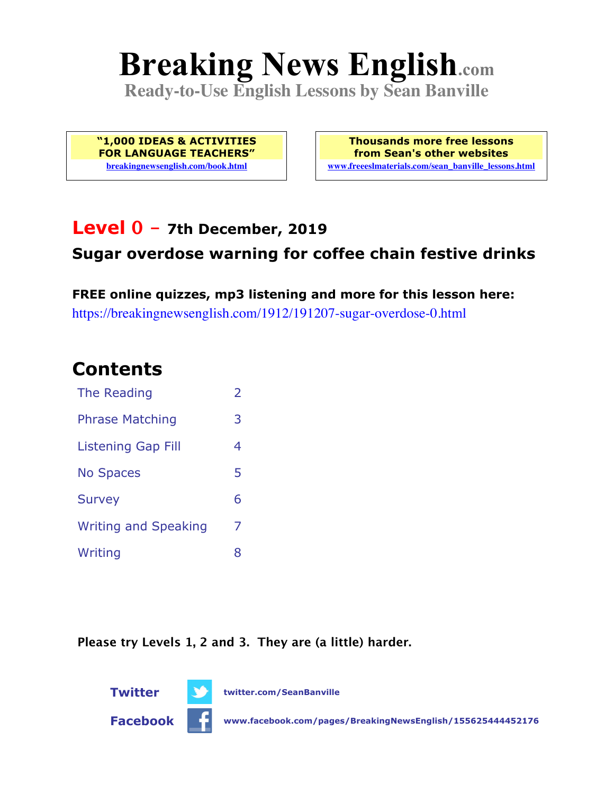# **Breaking News English.com**

**Ready-to-Use English Lessons by Sean Banville**

**"1,000 IDEAS & ACTIVITIES FOR LANGUAGE TEACHERS" breakingnewsenglish.com/book.html**

**Thousands more free lessons from Sean's other websites www.freeeslmaterials.com/sean\_banville\_lessons.html**

### **Level 0 - 7th December, 2019**

### **Sugar overdose warning for coffee chain festive drinks**

**FREE online quizzes, mp3 listening and more for this lesson here:** https://breakingnewsenglish.com/1912/191207-sugar-overdose-0.html

### **Contents**

| The Reading                 | $\overline{\phantom{a}}$ |
|-----------------------------|--------------------------|
| <b>Phrase Matching</b>      | 3                        |
| Listening Gap Fill          | 4                        |
| <b>No Spaces</b>            | 5                        |
| <b>Survey</b>               | 6                        |
| <b>Writing and Speaking</b> | 7                        |
| Writing                     | 8                        |

**Please try Levels 1, 2 and 3. They are (a little) harder.**

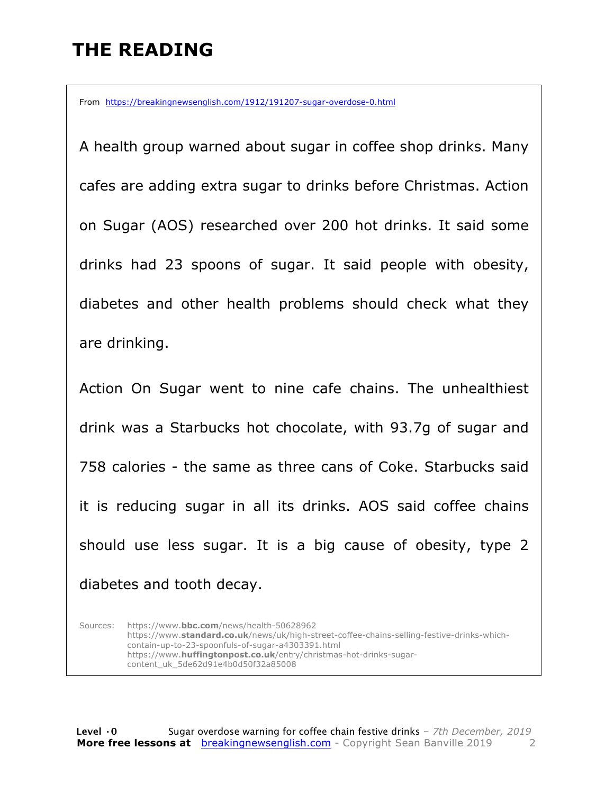### **THE READING**

From https://breakingnewsenglish.com/1912/191207-sugar-overdose-0.html

A health group warned about sugar in coffee shop drinks. Many cafes are adding extra sugar to drinks before Christmas. Action on Sugar (AOS) researched over 200 hot drinks. It said some drinks had 23 spoons of sugar. It said people with obesity, diabetes and other health problems should check what they are drinking.

Action On Sugar went to nine cafe chains. The unhealthiest drink was a Starbucks hot chocolate, with 93.7g of sugar and 758 calories - the same as three cans of Coke. Starbucks said it is reducing sugar in all its drinks. AOS said coffee chains should use less sugar. It is a big cause of obesity, type 2 diabetes and tooth decay.

Sources: https://www.**bbc.com**/news/health-50628962 https://www.**standard.co.uk**/news/uk/high-street-coffee-chains-selling-festive-drinks-whichcontain-up-to-23-spoonfuls-of-sugar-a4303391.html https://www.**huffingtonpost.co.uk**/entry/christmas-hot-drinks-sugarcontent\_uk\_5de62d91e4b0d50f32a85008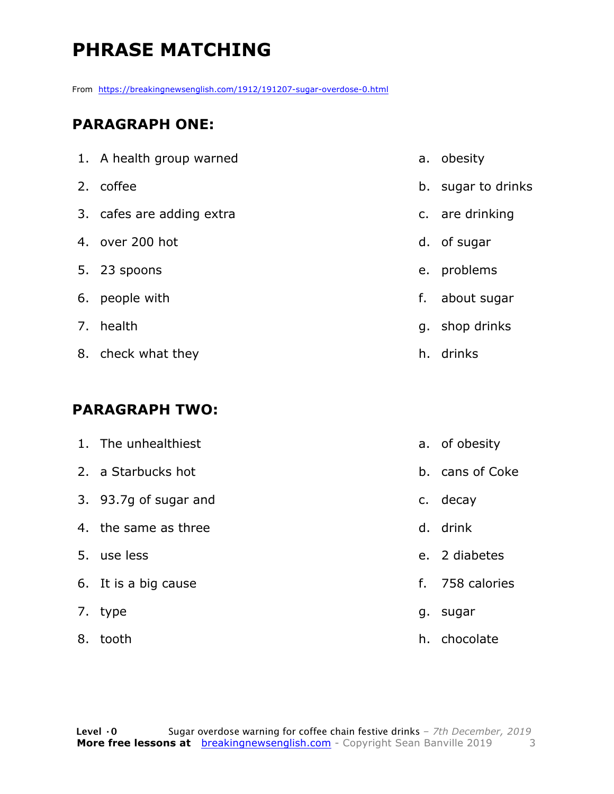## **PHRASE MATCHING**

From https://breakingnewsenglish.com/1912/191207-sugar-overdose-0.html

#### **PARAGRAPH ONE:**

| 1. A health group warned  |    | a. obesity         |
|---------------------------|----|--------------------|
| 2. coffee                 |    | b. sugar to drinks |
| 3. cafes are adding extra |    | c. are drinking    |
| 4. over 200 hot           |    | d. of sugar        |
| 5. 23 spoons              |    | e. problems        |
| 6. people with            | f. | about sugar        |
| 7. health                 |    | g. shop drinks     |
| 8. check what they        | h. | drinks             |

#### **PARAGRAPH TWO:**

|    | 1. The unhealthiest   |    | a. of obesity   |
|----|-----------------------|----|-----------------|
|    | 2. a Starbucks hot    |    | b. cans of Coke |
|    | 3. 93.7g of sugar and |    | c. decay        |
|    | 4. the same as three  |    | d. drink        |
|    | 5. use less           |    | e. 2 diabetes   |
|    | 6. It is a big cause  |    | f. 758 calories |
|    | 7. type               | g. | sugar           |
| 8. | tooth                 |    | h. chocolate    |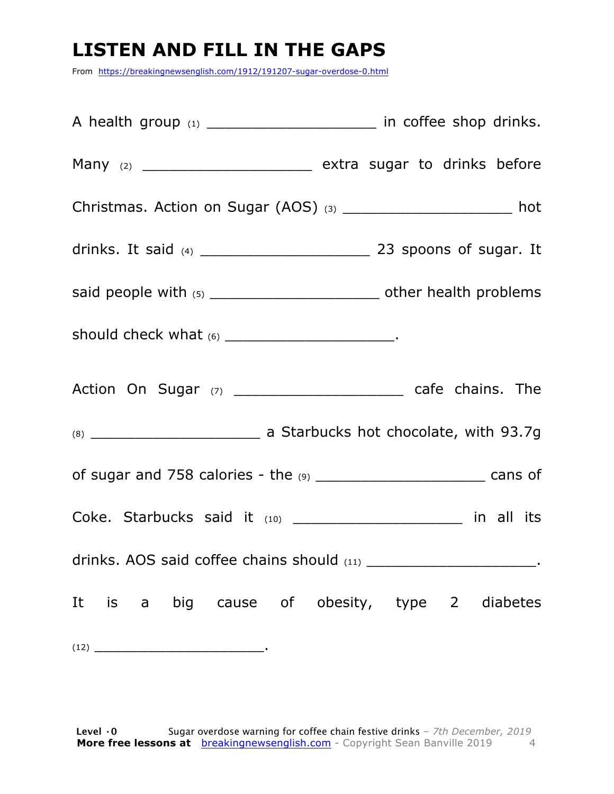### **LISTEN AND FILL IN THE GAPS**

From https://breakingnewsenglish.com/1912/191207-sugar-overdose-0.html

| A health group (1) __________________________ in coffee shop drinks.          |  |
|-------------------------------------------------------------------------------|--|
| Many (2) __________________________________ extra sugar to drinks before      |  |
| Christmas. Action on Sugar (AOS) (3) _______________________ hot              |  |
|                                                                               |  |
| said people with (5) __________________________________ other health problems |  |
|                                                                               |  |
|                                                                               |  |
|                                                                               |  |
| of sugar and 758 calories - the (9) _______________________________ cans of   |  |
| Coke. Starbucks said it (10) _____________________ in all its                 |  |
| drinks. AOS said coffee chains should (11) ________________________________.  |  |
| It is a big cause of obesity, type 2 diabetes                                 |  |
| $(12) \t\underline{\hspace{2cm}}$                                             |  |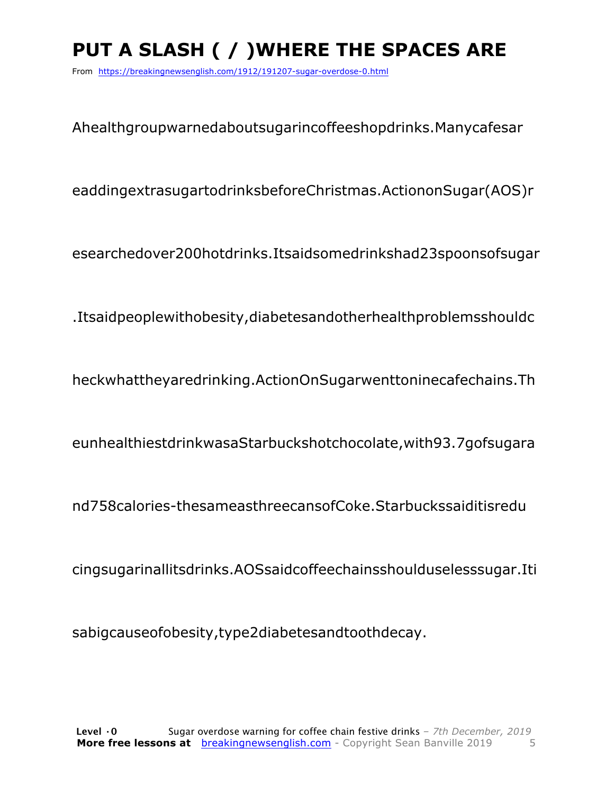# **PUT A SLASH ( / )WHERE THE SPACES ARE**

From https://breakingnewsenglish.com/1912/191207-sugar-overdose-0.html

Ahealthgroupwarnedaboutsugarincoffeeshopdrinks.Manycafesar

eaddingextrasugartodrinksbeforeChristmas.ActiononSugar(AOS)r

esearchedover200hotdrinks.Itsaidsomedrinkshad23spoonsofsugar

.Itsaidpeoplewithobesity,diabetesandotherhealthproblemsshouldc

heckwhattheyaredrinking.ActionOnSugarwenttoninecafechains.Th

eunhealthiestdrinkwasaStarbuckshotchocolate,with93.7gofsugara

nd758calories-thesameasthreecansofCoke.Starbuckssaiditisredu

cingsugarinallitsdrinks.AOSsaidcoffeechainsshoulduselesssugar.Iti

sabigcauseofobesity,type2diabetesandtoothdecay.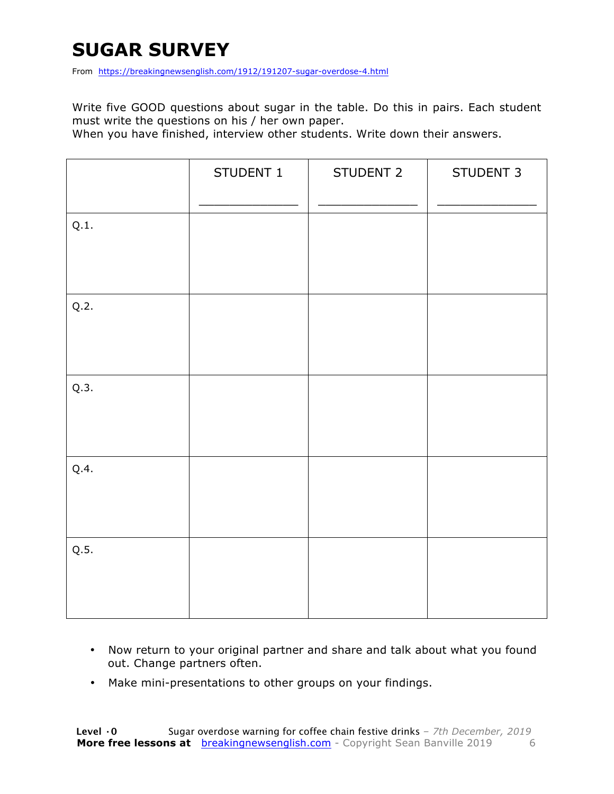### **SUGAR SURVEY**

From https://breakingnewsenglish.com/1912/191207-sugar-overdose-4.html

Write five GOOD questions about sugar in the table. Do this in pairs. Each student must write the questions on his / her own paper.

When you have finished, interview other students. Write down their answers.

|      | STUDENT 1 | STUDENT 2 | STUDENT 3 |
|------|-----------|-----------|-----------|
| Q.1. |           |           |           |
| Q.2. |           |           |           |
| Q.3. |           |           |           |
| Q.4. |           |           |           |
| Q.5. |           |           |           |

- Now return to your original partner and share and talk about what you found out. Change partners often.
- Make mini-presentations to other groups on your findings.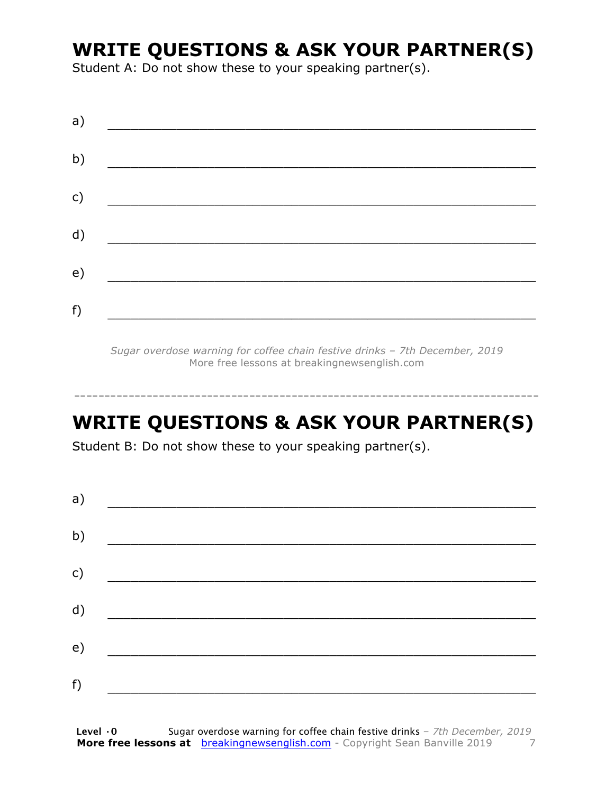### **WRITE QUESTIONS & ASK YOUR PARTNER(S)**

Student A: Do not show these to your speaking partner(s).

| a) |  |  |
|----|--|--|
| b) |  |  |
| c) |  |  |
| d) |  |  |
| e) |  |  |
|    |  |  |
| f) |  |  |

*Sugar overdose warning for coffee chain festive drinks – 7th December, 2019* More free lessons at breakingnewsenglish.com

### **WRITE QUESTIONS & ASK YOUR PARTNER(S)**

-----------------------------------------------------------------------------

Student B: Do not show these to your speaking partner(s).

| a) |  |  |
|----|--|--|
| b) |  |  |
| c) |  |  |
| d) |  |  |
| e) |  |  |
| f) |  |  |
|    |  |  |

**Level ·0** Sugar overdose warning for coffee chain festive drinks *– 7th December, 2019* **More free lessons at** breakingnewsenglish.com - Copyright Sean Banville 2019 7